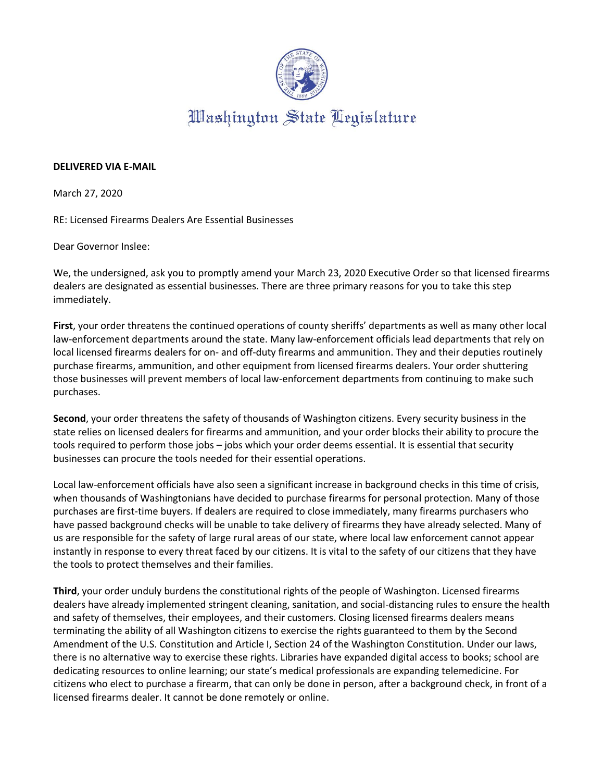

## **DELIVERED VIA E-MAIL**

March 27, 2020

RE: Licensed Firearms Dealers Are Essential Businesses

Dear Governor Inslee:

We, the undersigned, ask you to promptly amend your March 23, 2020 Executive Order so that licensed firearms dealers are designated as essential businesses. There are three primary reasons for you to take this step immediately.

**First**, your order threatens the continued operations of county sheriffs' departments as well as many other local law-enforcement departments around the state. Many law-enforcement officials lead departments that rely on local licensed firearms dealers for on- and off-duty firearms and ammunition. They and their deputies routinely purchase firearms, ammunition, and other equipment from licensed firearms dealers. Your order shuttering those businesses will prevent members of local law-enforcement departments from continuing to make such purchases.

**Second**, your order threatens the safety of thousands of Washington citizens. Every security business in the state relies on licensed dealers for firearms and ammunition, and your order blocks their ability to procure the tools required to perform those jobs – jobs which your order deems essential. It is essential that security businesses can procure the tools needed for their essential operations.

Local law-enforcement officials have also seen a significant increase in background checks in this time of crisis, when thousands of Washingtonians have decided to purchase firearms for personal protection. Many of those purchases are first-time buyers. If dealers are required to close immediately, many firearms purchasers who have passed background checks will be unable to take delivery of firearms they have already selected. Many of us are responsible for the safety of large rural areas of our state, where local law enforcement cannot appear instantly in response to every threat faced by our citizens. It is vital to the safety of our citizens that they have the tools to protect themselves and their families.

**Third**, your order unduly burdens the constitutional rights of the people of Washington. Licensed firearms dealers have already implemented stringent cleaning, sanitation, and social-distancing rules to ensure the health and safety of themselves, their employees, and their customers. Closing licensed firearms dealers means terminating the ability of all Washington citizens to exercise the rights guaranteed to them by the Second Amendment of the U.S. Constitution and Article I, Section 24 of the Washington Constitution. Under our laws, there is no alternative way to exercise these rights. Libraries have expanded digital access to books; school are dedicating resources to online learning; our state's medical professionals are expanding telemedicine. For citizens who elect to purchase a firearm, that can only be done in person, after a background check, in front of a licensed firearms dealer. It cannot be done remotely or online.